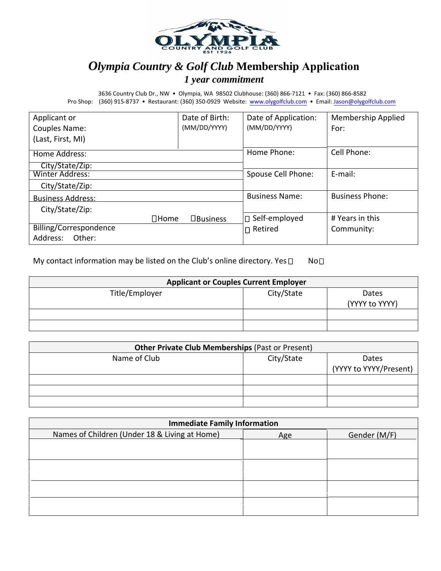

## *Olympia Country & Golf Club* **Membership Application**  *1 year commitment*

3636 Country Club Dr., NW • Olympia, WA 98502 Clubhouse: (360) 866‐7121 • Fax: (360) 866‐8582 Pro Shop: (360) 915-8737 • Restaurant: (360) 350-0929 Website: www.olygolfclub.com • Email: Jason@olygolfclub.com

| Applicant or             | Date of Birth:  | Date of Application:  | <b>Membership Applied</b> |
|--------------------------|-----------------|-----------------------|---------------------------|
| Couples Name:            | (MM/DD/YYYY)    | (MM/DD/YYYY)          | For:                      |
| (Last, First, MI)        |                 |                       |                           |
| Home Address:            |                 | Home Phone:           | Cell Phone:               |
| City/State/Zip:          |                 |                       |                           |
| Winter Address:          |                 | Spouse Cell Phone:    | E-mail:                   |
| City/State/Zip:          |                 |                       |                           |
| <b>Business Address:</b> |                 | <b>Business Name:</b> | <b>Business Phone:</b>    |
| City/State/Zip:          |                 |                       |                           |
| $\Box$ Home              | $\Box$ Business | □ Self-employed       | # Years in this           |
| Billing/Correspondence   |                 | $\sqcap$ Retired      | Community:                |
| Address:<br>Other:       |                 |                       |                           |

My contact information may be listed on the Club's online directory. Yes  $\Box$  No $\Box$ 

| <b>Applicant or Couples Current Employer</b> |            |                         |  |
|----------------------------------------------|------------|-------------------------|--|
| Title/Employer                               | City/State | Dates<br>(YYYY to YYYY) |  |
|                                              |            |                         |  |
|                                              |            |                         |  |

| <b>Other Private Club Memberships (Past or Present)</b> |            |                        |  |
|---------------------------------------------------------|------------|------------------------|--|
| Name of Club                                            | City/State | Dates                  |  |
|                                                         |            | (YYYY to YYYY/Present) |  |
|                                                         |            |                        |  |
|                                                         |            |                        |  |
|                                                         |            |                        |  |

| <b>Immediate Family Information</b>           |     |              |  |
|-----------------------------------------------|-----|--------------|--|
| Names of Children (Under 18 & Living at Home) | Age | Gender (M/F) |  |
|                                               |     |              |  |
|                                               |     |              |  |
|                                               |     |              |  |
|                                               |     |              |  |
|                                               |     |              |  |
|                                               |     |              |  |
|                                               |     |              |  |
|                                               |     |              |  |